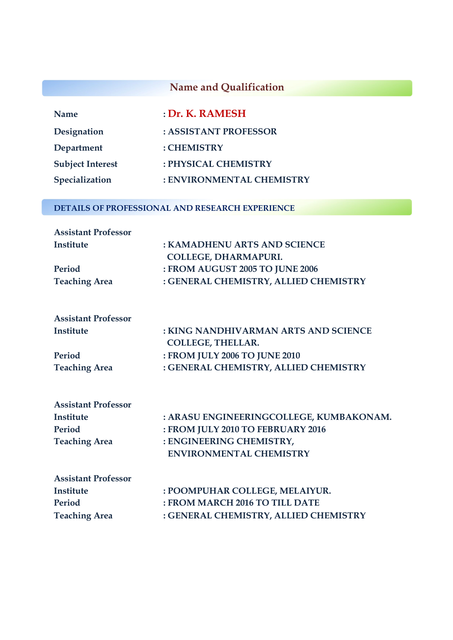## **Name and Qualification**

| <b>Name</b>             | : Dr. K. RAMESH           |
|-------------------------|---------------------------|
| Designation             | : ASSISTANT PROFESSOR     |
| Department              | : CHEMISTRY               |
| <b>Subject Interest</b> | : PHYSICAL CHEMISTRY      |
| Specialization          | : ENVIRONMENTAL CHEMISTRY |

#### **DETAILS OF PROFESSIONAL AND RESEARCH EXPERIENCE**

| <b>Assistant Professor</b> |                                       |
|----------------------------|---------------------------------------|
| Institute                  | : KAMADHENU ARTS AND SCIENCE          |
|                            | <b>COLLEGE, DHARMAPURI.</b>           |
| Period                     | : FROM AUGUST 2005 TO JUNE 2006       |
| <b>Teaching Area</b>       | : GENERAL CHEMISTRY, ALLIED CHEMISTRY |

| <b>Assistant Professor</b> |                                       |
|----------------------------|---------------------------------------|
| Institute                  | : KING NANDHIVARMAN ARTS AND SCIENCE  |
|                            | <b>COLLEGE, THELLAR.</b>              |
| Period                     | : FROM JULY 2006 TO JUNE 2010         |
| <b>Teaching Area</b>       | : GENERAL CHEMISTRY, ALLIED CHEMISTRY |

| <b>Assistant Professor</b> |                                         |
|----------------------------|-----------------------------------------|
| Institute                  | : ARASU ENGINEERINGCOLLEGE, KUMBAKONAM. |
| Period                     | : FROM JULY 2010 TO FEBRUARY 2016       |
| <b>Teaching Area</b>       | : ENGINEERING CHEMISTRY,                |
|                            | <b>ENVIRONMENTAL CHEMISTRY</b>          |

| <b>Assistant Professor</b> |                                       |
|----------------------------|---------------------------------------|
| Institute                  | : POOMPUHAR COLLEGE, MELAIYUR.        |
| Period                     | : FROM MARCH 2016 TO TILL DATE        |
| <b>Teaching Area</b>       | : GENERAL CHEMISTRY, ALLIED CHEMISTRY |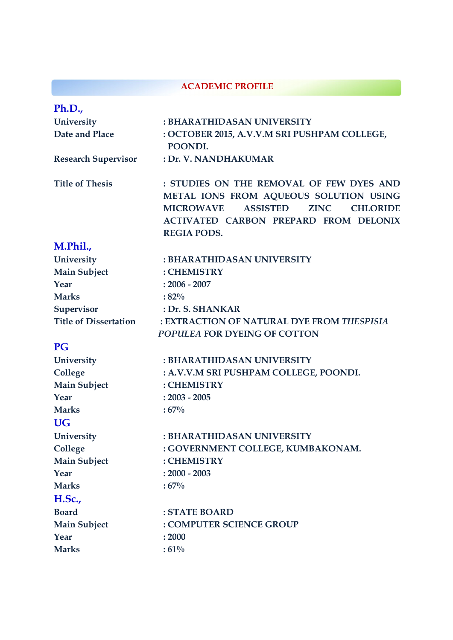#### **ACADEMIC PROFILE**

| Ph.D.,                       |                                                                                                                                                                                                                                   |
|------------------------------|-----------------------------------------------------------------------------------------------------------------------------------------------------------------------------------------------------------------------------------|
| University                   | : BHARATHIDASAN UNIVERSITY                                                                                                                                                                                                        |
| Date and Place               | : OCTOBER 2015, A.V.V.M SRI PUSHPAM COLLEGE,<br>POONDI.                                                                                                                                                                           |
| <b>Research Supervisor</b>   | : Dr. V. NANDHAKUMAR                                                                                                                                                                                                              |
| <b>Title of Thesis</b>       | : STUDIES ON THE REMOVAL OF FEW DYES AND<br>METAL IONS FROM AQUEOUS SOLUTION USING<br><b>ASSISTED</b><br><b>ZINC</b><br><b>MICROWAVE</b><br><b>CHLORIDE</b><br><b>ACTIVATED CARBON PREPARD FROM DELONIX</b><br><b>REGIA PODS.</b> |
| M.Phil.,                     |                                                                                                                                                                                                                                   |
| University                   | : BHARATHIDASAN UNIVERSITY                                                                                                                                                                                                        |
| <b>Main Subject</b>          | : CHEMISTRY                                                                                                                                                                                                                       |
| Year                         | $: 2006 - 2007$                                                                                                                                                                                                                   |
| <b>Marks</b>                 | $:82\%$                                                                                                                                                                                                                           |
| Supervisor                   | : Dr. S. SHANKAR                                                                                                                                                                                                                  |
| <b>Title of Dissertation</b> | : EXTRACTION OF NATURAL DYE FROM THESPISIA                                                                                                                                                                                        |
|                              | POPULEA FOR DYEING OF COTTON                                                                                                                                                                                                      |
| <b>PG</b>                    |                                                                                                                                                                                                                                   |
| University                   | : BHARATHIDASAN UNIVERSITY                                                                                                                                                                                                        |
| College                      | : A.V.V.M SRI PUSHPAM COLLEGE, POONDI.                                                                                                                                                                                            |
| <b>Main Subject</b>          | : CHEMISTRY                                                                                                                                                                                                                       |
| Year                         | $: 2003 - 2005$                                                                                                                                                                                                                   |
| <b>Marks</b>                 | $:67\%$                                                                                                                                                                                                                           |
| <b>UG</b>                    |                                                                                                                                                                                                                                   |
| University                   | : BHARATHIDASAN UNIVERSITY                                                                                                                                                                                                        |
| College                      | : GOVERNMENT COLLEGE, KUMBAKONAM.                                                                                                                                                                                                 |
| <b>Main Subject</b>          | : CHEMISTRY                                                                                                                                                                                                                       |
| Year                         | $: 2000 - 2003$                                                                                                                                                                                                                   |
| <b>Marks</b>                 | $:67\%$                                                                                                                                                                                                                           |
| H.Sc.,                       |                                                                                                                                                                                                                                   |
| <b>Board</b>                 | : STATE BOARD                                                                                                                                                                                                                     |
| <b>Main Subject</b>          | : COMPUTER SCIENCE GROUP                                                                                                                                                                                                          |
| Year                         | : 2000                                                                                                                                                                                                                            |
| <b>Marks</b>                 | $:61\%$                                                                                                                                                                                                                           |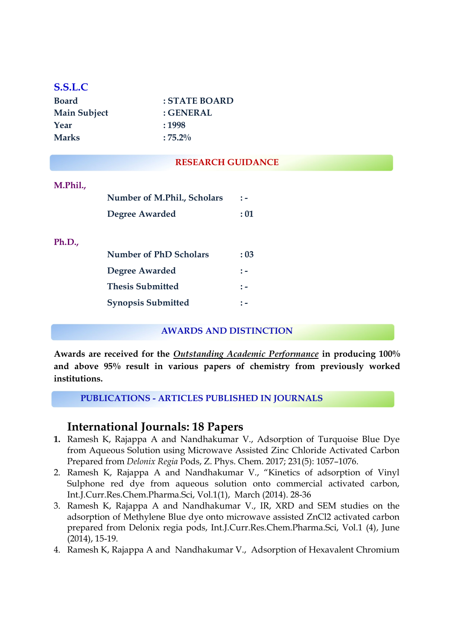## **S.S.L.C**

| <b>Board</b>        | $:$ STATE BOARD |
|---------------------|-----------------|
| <b>Main Subject</b> | : GENERAL       |
| Year                | :1998           |
| <b>Marks</b>        | $:75.2\%$       |

#### **RESEARCH GUIDANCE**

# **M.Phil., Number of M.Phil., Scholars : - Degree Awarded : 01 Ph.D., Number of PhD Scholars : 03 Degree Awarded : - Thesis Submitted : -**

#### **AWARDS AND DISTINCTION**

**Awards are received for the** *Outstanding Academic Performance* **in producing 100% and above 95% result in various papers of chemistry from previously worked institutions.**

**PUBLICATIONS - ARTICLES PUBLISHED IN JOURNALS**

**Synopsis Submitted : -**

## **International Journals: 18 Papers**

- **1.** Ramesh K, Rajappa A and Nandhakumar V., Adsorption of Turquoise Blue Dye from Aqueous Solution using Microwave Assisted Zinc Chloride Activated Carbon Prepared from *Delonix Regia* Pods, Z. Phys. Chem. 2017; 231(5): 1057–1076.
- 2. Ramesh K, Rajappa A and Nandhakumar V., "Kinetics of adsorption of Vinyl Sulphone red dye from aqueous solution onto commercial activated carbon, Int.J.Curr.Res.Chem.Pharma.Sci, Vol.1(1), March (2014). 28-36
- 3. Ramesh K, Rajappa A and Nandhakumar V., IR, XRD and SEM studies on the adsorption of Methylene Blue dye onto microwave assisted ZnCl2 activated carbon prepared from Delonix regia pods, Int.J.Curr.Res.Chem.Pharma.Sci, Vol.1 (4), June (2014), 15-19.
- 4. Ramesh K, Rajappa A and Nandhakumar V., Adsorption of Hexavalent Chromium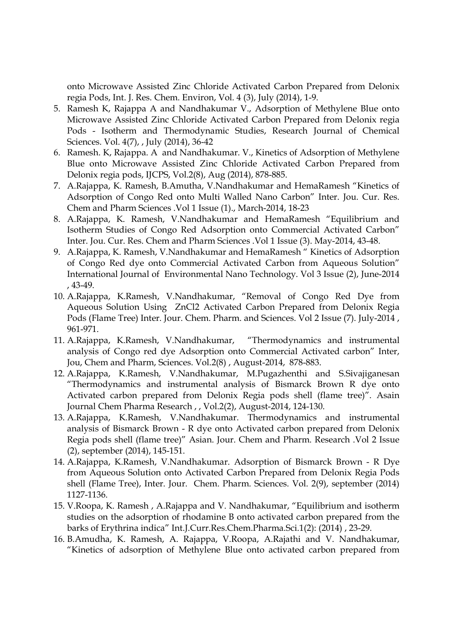onto Microwave Assisted Zinc Chloride Activated Carbon Prepared from Delonix regia Pods, Int. J. Res. Chem. Environ, Vol. 4 (3), July (2014), 1-9.

- 5. Ramesh K, Rajappa A and Nandhakumar V., Adsorption of Methylene Blue onto Microwave Assisted Zinc Chloride Activated Carbon Prepared from Delonix regia Pods - Isotherm and Thermodynamic Studies, Research Journal of Chemical Sciences. Vol. 4(7), , July (2014), 36-42
- 6. Ramesh. K, Rajappa. A and Nandhakumar. V., Kinetics of Adsorption of Methylene Blue onto Microwave Assisted Zinc Chloride Activated Carbon Prepared from Delonix regia pods, IJCPS, Vol.2(8), Aug (2014), 878-885.
- 7. A.Rajappa, K. Ramesh, B.Amutha, V.Nandhakumar and HemaRamesh "Kinetics of Adsorption of Congo Red onto Multi Walled Nano Carbon" Inter. Jou. Cur. Res. Chem and Pharm Sciences .Vol 1 Issue (1)., March-2014, 18-23
- 8. A.Rajappa, K. Ramesh, V.Nandhakumar and HemaRamesh "Equilibrium and Isotherm Studies of Congo Red Adsorption onto Commercial Activated Carbon" Inter. Jou. Cur. Res. Chem and Pharm Sciences .Vol 1 Issue (3). May-2014, 43-48.
- 9. A.Rajappa, K. Ramesh, V.Nandhakumar and HemaRamesh " Kinetics of Adsorption of Congo Red dye onto Commercial Activated Carbon from Aqueous Solution" International Journal of Environmental Nano Technology. Vol 3 Issue (2), June-2014 , 43-49.
- 10. A.Rajappa, K.Ramesh, V.Nandhakumar, "Removal of Congo Red Dye from Aqueous Solution Using ZnCl2 Activated Carbon Prepared from Delonix Regia Pods (Flame Tree) Inter. Jour. Chem. Pharm. and Sciences. Vol 2 Issue (7). July-2014 , 961-971.
- 11. A.Rajappa, K.Ramesh, V.Nandhakumar, "Thermodynamics and instrumental analysis of Congo red dye Adsorption onto Commercial Activated carbon" Inter, Jou, Chem and Pharm, Sciences. Vol.2(8) , August-2014, 878-883.
- 12. A.Rajappa, K.Ramesh, V.Nandhakumar, M.Pugazhenthi and S.Sivajiganesan "Thermodynamics and instrumental analysis of Bismarck Brown R dye onto Activated carbon prepared from Delonix Regia pods shell (flame tree)". Asain Journal Chem Pharma Research , , Vol.2(2), August-2014, 124-130.
- 13. A.Rajappa, K.Ramesh, V.Nandhakumar. Thermodynamics and instrumental analysis of Bismarck Brown - R dye onto Activated carbon prepared from Delonix Regia pods shell (flame tree)" Asian. Jour. Chem and Pharm. Research .Vol 2 Issue (2), september (2014), 145-151.
- 14. A.Rajappa, K.Ramesh, V.Nandhakumar. Adsorption of Bismarck Brown R Dye from Aqueous Solution onto Activated Carbon Prepared from Delonix Regia Pods shell (Flame Tree), Inter. Jour. Chem. Pharm. Sciences. Vol. 2(9), september (2014) 1127-1136.
- 15. V.Roopa, K. Ramesh , A.Rajappa and V. Nandhakumar, "Equilibrium and isotherm studies on the adsorption of rhodamine B onto activated carbon prepared from the barks of Erythrina indica" Int.J.Curr.Res.Chem.Pharma.Sci.1(2): (2014) , 23-29.
- 16. B.Amudha, K. Ramesh, A. Rajappa, V.Roopa, A.Rajathi and V. Nandhakumar, "Kinetics of adsorption of Methylene Blue onto activated carbon prepared from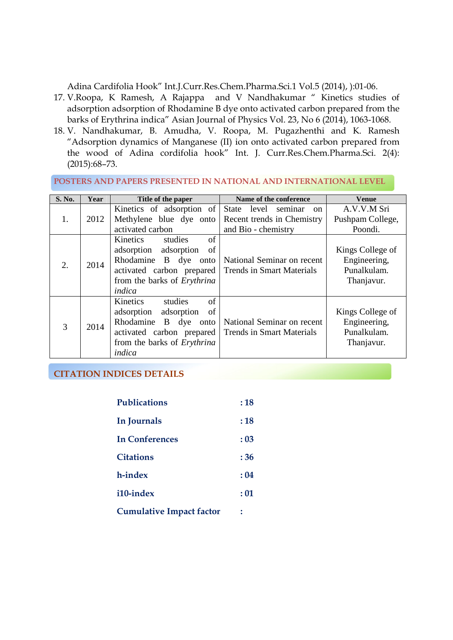Adina Cardifolia Hook" Int.J.Curr.Res.Chem.Pharma.Sci.1 Vol.5 (2014), ):01-06.

- 17. V.Roopa, K Ramesh, A Rajappa and V Nandhakumar " Kinetics studies of adsorption adsorption of Rhodamine B dye onto activated carbon prepared from the barks of Erythrina indica" Asian Journal of Physics Vol. 23, No 6 (2014), 1063-1068.
- 18. V. Nandhakumar, B. Amudha, V. Roopa, M. Pugazhenthi and K. Ramesh "Adsorption dynamics of Manganese (II) ion onto activated carbon prepared from the wood of Adina cordifolia hook" Int. J. Curr.Res.Chem.Pharma.Sci. 2(4): (2015):68–73.

#### **POSTERS AND PAPERS PRESENTED IN NATIONAL AND INTERNATIONAL LEVEL**

| S. No. | Year | Title of the paper                                                                                                                                     | Name of the conference                                                                          | Venue                                                         |
|--------|------|--------------------------------------------------------------------------------------------------------------------------------------------------------|-------------------------------------------------------------------------------------------------|---------------------------------------------------------------|
| 1.     | 2012 | Kinetics of adsorption of<br>Methylene blue dye onto<br>activated carbon                                                                               | State<br>level<br>seminar<br><sub>on</sub><br>Recent trends in Chemistry<br>and Bio - chemistry | A.V.V.M Sri<br>Pushpam College,<br>Poondi.                    |
| 2.     | 2014 | of<br>Kinetics<br>studies<br>adsorption adsorption<br>of<br>Rhodamine B dye onto<br>activated carbon prepared<br>from the barks of Erythrina<br>indica | National Seminar on recent<br><b>Trends in Smart Materials</b>                                  | Kings College of<br>Engineering,<br>Punalkulam.<br>Thanjavur. |
| 3      | 2014 | of<br>Kinetics<br>studies<br>of<br>adsorption adsorption<br>Rhodamine B dye onto<br>activated carbon prepared<br>from the barks of Erythrina<br>indica | National Seminar on recent<br><b>Trends in Smart Materials</b>                                  | Kings College of<br>Engineering,<br>Punalkulam.<br>Thanjavur. |

**CITATION INDICES DETAILS** 

| <b>Publications</b>             | :18  |
|---------------------------------|------|
| In Journals                     | :18  |
| In Conferences                  | : 03 |
| <b>Citations</b>                | :36  |
| h-index                         | :04  |
| i10-index                       | : 01 |
| <b>Cumulative Impact factor</b> |      |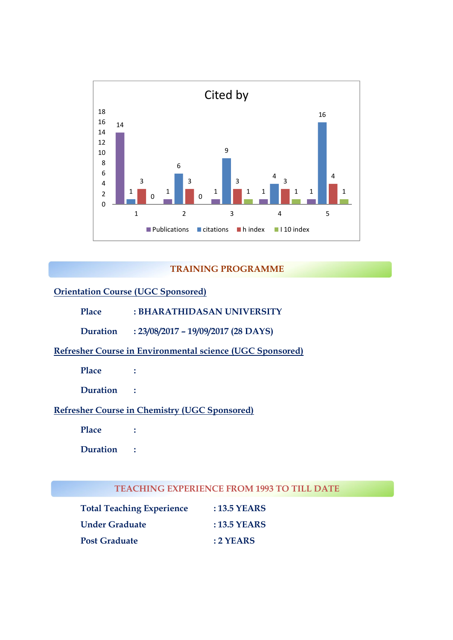

#### **TRAINING PROGRAMME**

## **Orientation Course (UGC Sponsored)**

- **Place : BHARATHIDASAN UNIVERSITY**
- **Duration : 23/08/2017 – 19/09/2017 (28 DAYS)**

## **Refresher Course in Environmental science (UGC Sponsored)**

**Place :** 

**Duration :** 

#### **Refresher Course in Chemistry (UGC Sponsored)**

**Place :** 

**Duration :** 

#### **TEACHING EXPERIENCE FROM 1993 TO TILL DATE**

| <b>Total Teaching Experience</b> | : 13.5 YEARS   |
|----------------------------------|----------------|
| <b>Under Graduate</b>            | : $13.5$ YEARS |
| <b>Post Graduate</b>             | $:2$ YEARS     |